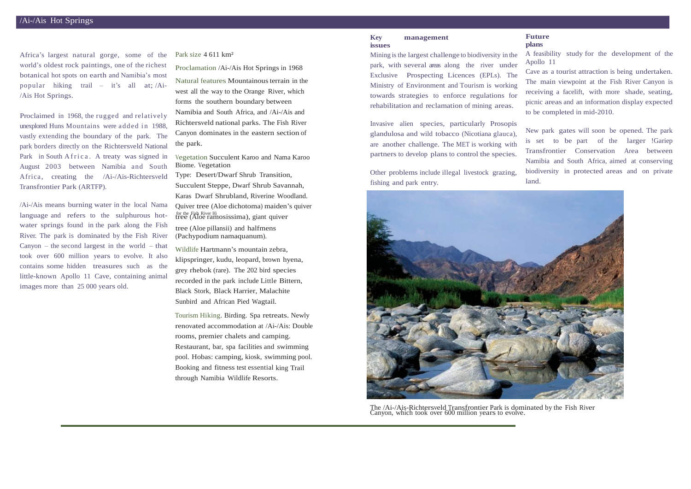Africa's largest natural gorge, some of the world's oldest rock paintings, one of the richest botanical hot spots on earth and Namibia's most popular hiking trail – it's all at; /Ai- /Ais Hot Springs.

Proclaimed in 1968, the rugged and relatively unexplored Huns Mountains were added in 1988. vastly extending the boundary of the park. The park borders directly on the Richtersveld National Park in South A frica. A treaty was signed in August 2003 between Namibia and South Africa, creating the /Ai-/Ais-Richtersveld Transfrontier Park (ARTFP).

Natural features Mountainous terrain in the west all the way to the Orange River, which forms the southern boundary between Namibia and South Africa, and /Ai-/Ais and Richtersveld national parks. The Fish River Canyon dominates in the eastern section of the park.

/Ai-/Ais means burning water in the local Nama language and refers to the sulphurous hotwater springs found in the park along the Fish River. The park is dominated by the Fish River Canyon – the second largest in the world – that took over 600 million years to evolve. It also contains some hidden treasures such as the little-known Apollo 11 Cave, containing animal images more than 25 000 years old.

Park size 4 611 km<sup>2</sup>

for the Fish River Hi tree (Aloe ramosissima), giant quiver Type: Desert/Dwarf Shrub Transition, Succulent Steppe, Dwarf Shrub Savannah, Karas Dwarf Shrubland, Riverine Woodland. Quiver tree (Aloe dichotoma) maiden's quiver tree (Aloe pillansii) and halfmens

Proclamation /Ai-/Ais Hot Springs in 1968

Vegetation Succulent Karoo and Nama Karoo Biome. Vegetation

(Pachypodium namaquanum).

Wildlife Hartmann's mountain zebra, klipspringer, kudu, leopard, brown hyena, grey rhebok (rare). The 202 bird species recorded in the park include Little Bittern, Black Stork, Black Harrier, Malachite Sunbird and African Pied Wagtail.

Tourism Hiking. Birding. Spa retreats. Newly renovated accommodation at /Ai-/Ais: Double rooms, premier chalets and camping. Restaurant, bar, spa facilities and swimming pool. Hobas: camping, kiosk, swimming pool. Booking and fitness test essential king Trail through Namibia Wildlife Resorts.

## **Key management issues**

Mining isthe largest challenge to biodiversity in the park, with several areas along the river under Exclusive Prospecting Licences (EPLs). The Ministry of Environment and Tourism is working towards strategies to enforce regulations for rehabilitation and reclamation of mining areas.

Invasive alien species, particularly Prosopis glandulosa and wild tobacco (Nicotiana glauca), are another challenge. The MET is working with partners to develop plans to control the species.

Other problems include illegal livestock grazing, fishing and park entry.

## **Future plans**

A feasibility study for the development of the Apollo 11

Cave as a tourist attraction is being undertaken. The main viewpoint at the Fish River Canyon is receiving a facelift, with more shade, seating, picnic areas and an information display expected to be completed in mid-2010.

New park gates will soon be opened. The park is set to be part of the larger !Gariep Transfrontier Conservation Area between Namibia and South Africa, aimed at conserving biodiversity in protected areas and on private land.



The /Ai-/Ais-Richtersveld Transfrontier Park is dominated by the Fish River Canyon, which took over 600 million years to evolve.